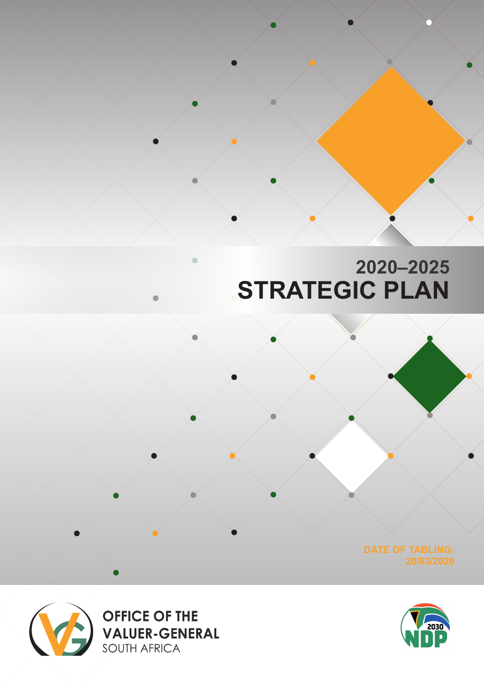# **2020–2025 STRATEGIC PLAN**

r



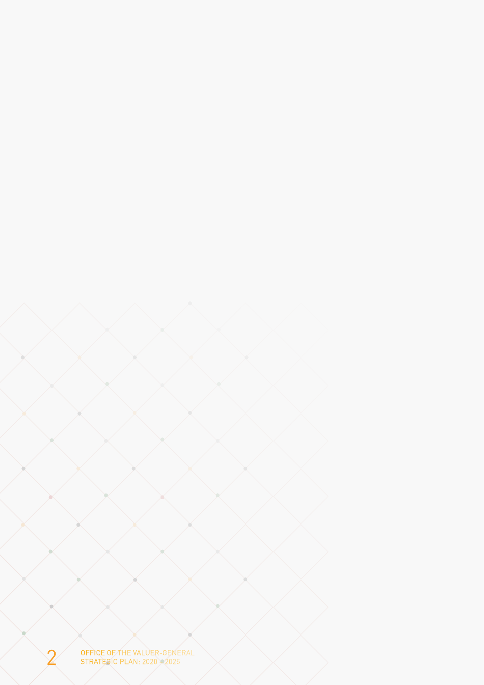OFFICE OF THE VALUER-GENERAL<br>STRATEGIC PLAN: 2020 – 2025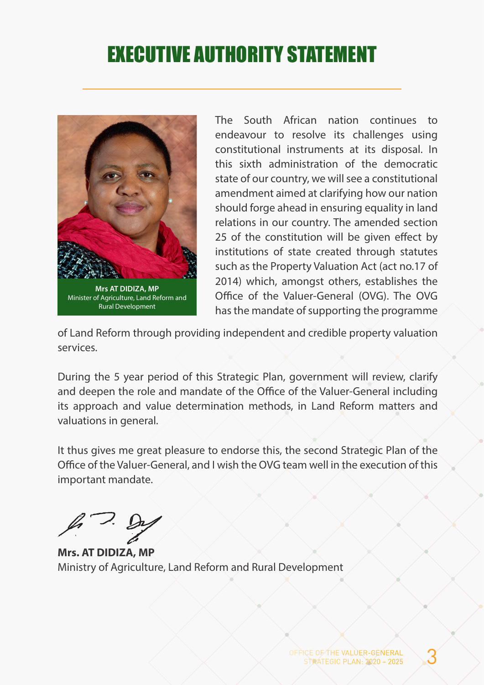# EXECUTIVE AUTHORITY STATEMENT



The South African nation continues to endeavour to resolve its challenges using constitutional instruments at its disposal. In this sixth administration of the democratic state of our country, we will see a constitutional amendment aimed at clarifying how our nation should forge ahead in ensuring equality in land relations in our country. The amended section 25 of the constitution will be given effect by institutions of state created through statutes such as the Property Valuation Act (act no.17 of 2014) which, amongst others, establishes the Office of the Valuer-General (OVG). The OVG has the mandate of supporting the programme

of Land Reform through providing independent and credible property valuation services.

During the 5 year period of this Strategic Plan, government will review, clarify and deepen the role and mandate of the Office of the Valuer-General including its approach and value determination methods, in Land Reform matters and valuations in general.

It thus gives me great pleasure to endorse this, the second Strategic Plan of the Office of the Valuer-General, and I wish the OVG team well in the execution of this important mandate.

**Mrs. AT DIDIZA, MP** Ministry of Agriculture, Land Reform and Rural Development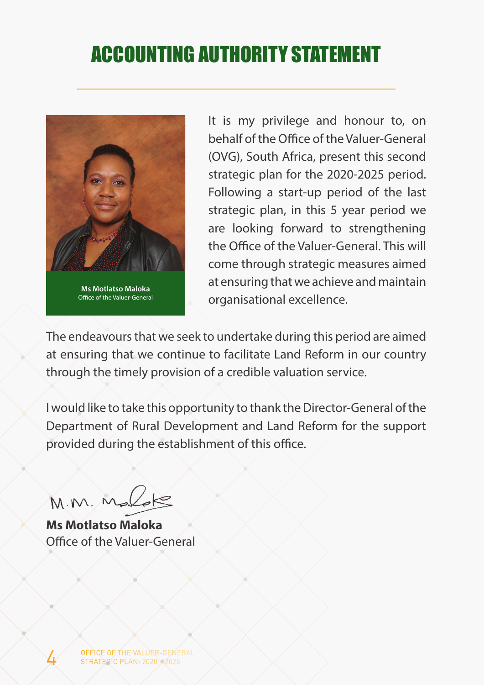# ACCOUNTING AUTHORITY STATEMENT



Office of the Valuer-General

It is my privilege and honour to, on behalf of the Office of the Valuer-General (OVG), South Africa, present this second strategic plan for the 2020-2025 period. Following a start-up period of the last strategic plan, in this 5 year period we are looking forward to strengthening the Office of the Valuer-General. This will come through strategic measures aimed at ensuring that we achieve and maintain organisational excellence.

The endeavours that we seek to undertake during this period are aimed at ensuring that we continue to facilitate Land Reform in our country through the timely provision of a credible valuation service.

I would like to take this opportunity to thank the Director-General of the Department of Rural Development and Land Reform for the support provided during the establishment of this office.

M.M. Mal

**Ms Motlatso Maloka** Office of the Valuer-General

OFFICE OF THE VALUER-GENERAL STRATEGIC PLAN: 2020 – 2025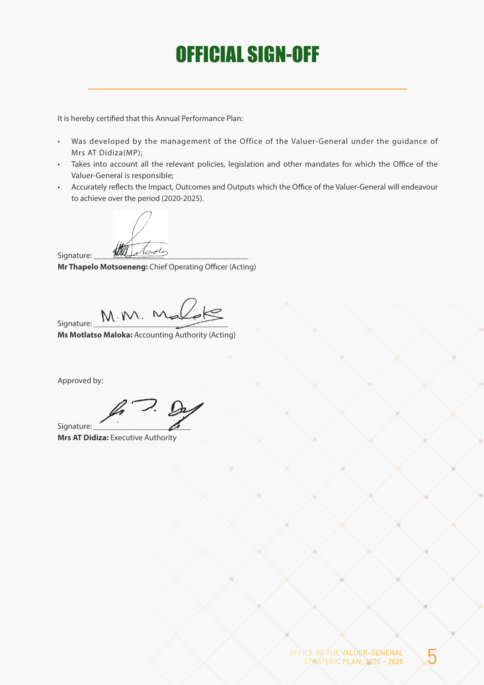# OFFICIAL SIGN-OFF

It is hereby certified that this Annual Performance Plan:

- Was developed by the management of the Office of the Valuer-General under the guidance of Mrs AT Didiza(MP);
- Takes into account all the relevant policies, legislation and other mandates for which the Office of the Valuer-General is responsible;
- Accurately reflects the Impact, Outcomes and Outputs which the Office of the Valuer-General will endeavour to achieve over the period (2020-2025).

Signature:  $\frac{1}{2}$ 

**Mr Thapelo Motsoeneng:** Chief Operating Officer (Acting)

Signature:  $M \cdot M$ . M

**Ms Motlatso Maloka:** Accounting Authority (Acting)

Approved by:

 $\mathcal{D}% _{G}=\mathcal{D}_{G}\!\left( \mathcal{A}_{G}\right) ,$ Signature:

**Mrs AT Didiza:** Executive Authority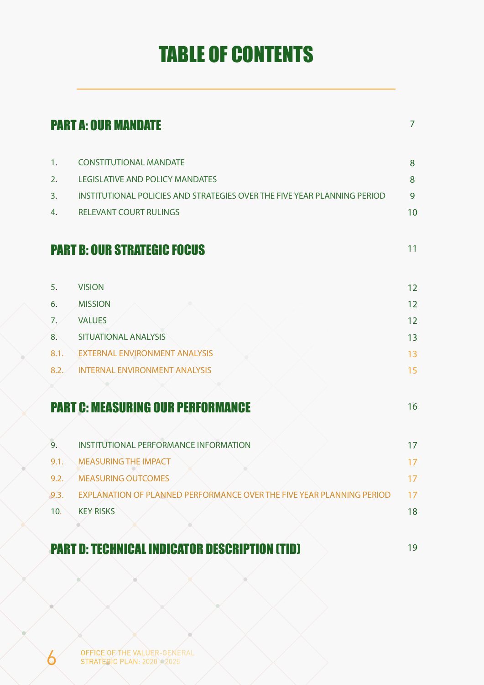# TABLE OF CONTENTS

|                  | <b>PART A: OUR MANDATE</b>                                               | 7  |
|------------------|--------------------------------------------------------------------------|----|
| 1 <sub>1</sub>   | <b>CONSTITUTIONAL MANDATE</b>                                            | 8  |
| 2.               | <b>LEGISLATIVE AND POLICY MANDATES</b>                                   | 8  |
| 3.               | INSTITUTIONAL POLICIES AND STRATEGIES OVER THE FIVE YEAR PLANNING PERIOD | 9  |
| 4.               | <b>RELEVANT COURT RULINGS</b>                                            | 10 |
|                  | <b>PART B: OUR STRATEGIC FOCUS</b>                                       | 11 |
| 5.               | <b>VISION</b>                                                            | 12 |
| 6.               | <b>MISSION</b>                                                           | 12 |
| 7.7 <sub>1</sub> | <b>VALUES</b>                                                            | 12 |
| $8^{\circ}$      | <b>SITUATIONAL ANALYSIS</b>                                              | 13 |
| 8.1.             | EXTERNAL ENVIRONMENT ANALYSIS                                            | 13 |
| 8.2.             | <b>INTERNAL ENVIRONMENT ANALYSIS</b>                                     | 15 |
|                  |                                                                          |    |
|                  | <b>PART C: MEASURING OUR PERFORMANCE</b>                                 | 16 |
| 9.               | <b>INSTITUTIONAL PERFORMANCE INFORMATION</b>                             | 17 |
| 9.1.             | <b>MEASURING THE IMPACT</b>                                              | 17 |
| 9.2.             | <b>MEASURING OUTCOMES</b>                                                | 17 |
| 9.3.             | EXPLANATION OF PLANNED PERFORMANCE OVER THE FIVE YEAR PLANNING PERIOD    | 17 |
| 10.              | <b>KEY RISKS</b>                                                         | 18 |
|                  |                                                                          |    |
|                  | <b>PART D: TECHNICAL INDICATOR DESCRIPTION (TID)</b>                     | 19 |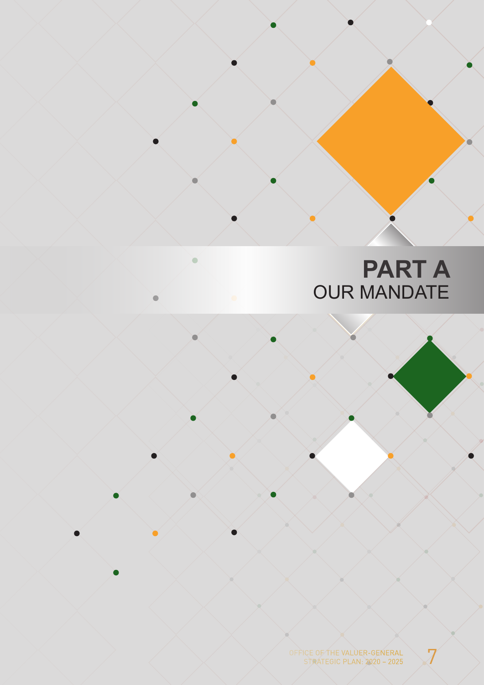## **PART A** OUR MANDATE

 $\bullet$ 

 $\Box$ 

 $\sqrt{2}$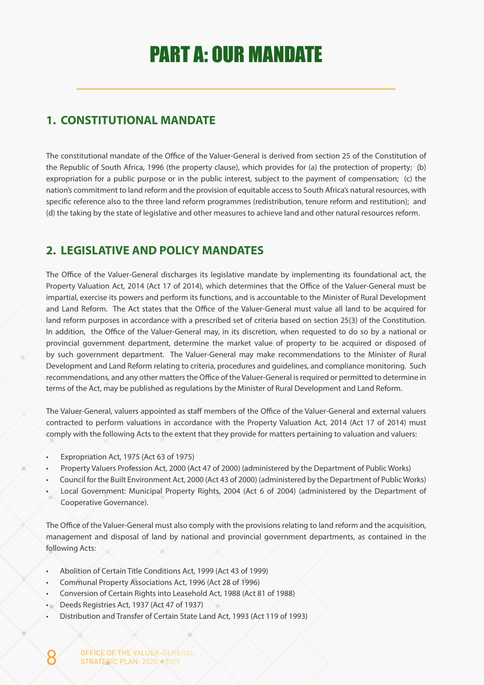# PART A: OUR MANDATE

### **1. CONSTITUTIONAL MANDATE**

The constitutional mandate of the Office of the Valuer-General is derived from section 25 of the Constitution of the Republic of South Africa, 1996 (the property clause), which provides for (a) the protection of property; (b) expropriation for a public purpose or in the public interest, subject to the payment of compensation; (c) the nation's commitment to land reform and the provision of equitable access to South Africa's natural resources, with specific reference also to the three land reform programmes (redistribution, tenure reform and restitution); and (d) the taking by the state of legislative and other measures to achieve land and other natural resources reform.

#### **2. LEGISLATIVE AND POLICY MANDATES**

The Office of the Valuer-General discharges its legislative mandate by implementing its foundational act, the Property Valuation Act, 2014 (Act 17 of 2014), which determines that the Office of the Valuer-General must be impartial, exercise its powers and perform its functions, and is accountable to the Minister of Rural Development and Land Reform. The Act states that the Office of the Valuer-General must value all land to be acquired for land reform purposes in accordance with a prescribed set of criteria based on section 25(3) of the Constitution. In addition, the Office of the Valuer-General may, in its discretion, when requested to do so by a national or provincial government department, determine the market value of property to be acquired or disposed of by such government department. The Valuer-General may make recommendations to the Minister of Rural Development and Land Reform relating to criteria, procedures and guidelines, and compliance monitoring. Such recommendations, and any other matters the Office of the Valuer-General is required or permitted to determine in terms of the Act, may be published as regulations by the Minister of Rural Development and Land Reform.

The Valuer-General, valuers appointed as staff members of the Office of the Valuer-General and external valuers contracted to perform valuations in accordance with the Property Valuation Act, 2014 (Act 17 of 2014) must comply with the following Acts to the extent that they provide for matters pertaining to valuation and valuers:

- Expropriation Act, 1975 (Act 63 of 1975)
- Property Valuers Profession Act, 2000 (Act 47 of 2000) (administered by the Department of Public Works)
- Council for the Built Environment Act, 2000 (Act 43 of 2000) (administered by the Department of Public Works)
- Local Government: Municipal Property Rights, 2004 (Act 6 of 2004) (administered by the Department of Cooperative Governance).

The Office of the Valuer-General must also comply with the provisions relating to land reform and the acquisition, management and disposal of land by national and provincial government departments, as contained in the following Acts:

- Abolition of Certain Title Conditions Act, 1999 (Act 43 of 1999)
- Communal Property Associations Act, 1996 (Act 28 of 1996)
- Conversion of Certain Rights into Leasehold Act, 1988 (Act 81 of 1988)
- Deeds Registries Act, 1937 (Act 47 of 1937)
- Distribution and Transfer of Certain State Land Act, 1993 (Act 119 of 1993)

OFFICE OF THE VALUER-GENERAL STRATEGIC PLAN: 2020 – 2025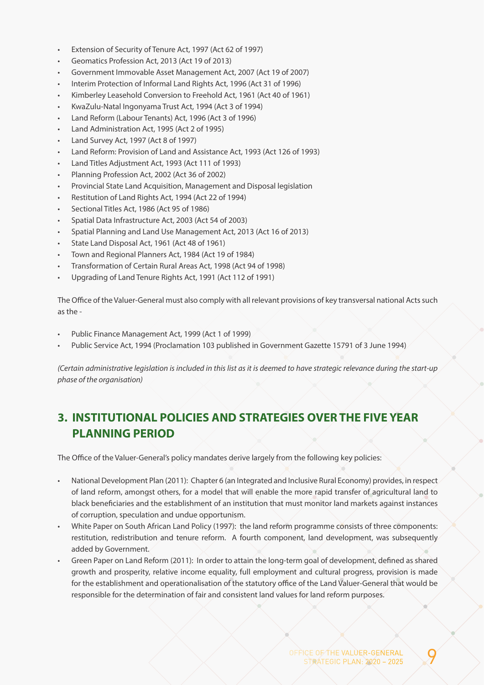- Extension of Security of Tenure Act, 1997 (Act 62 of 1997)
- Geomatics Profession Act, 2013 (Act 19 of 2013)
- Government Immovable Asset Management Act, 2007 (Act 19 of 2007)
- Interim Protection of Informal Land Rights Act, 1996 (Act 31 of 1996)
- Kimberley Leasehold Conversion to Freehold Act, 1961 (Act 40 of 1961)
- KwaZulu-Natal Ingonyama Trust Act, 1994 (Act 3 of 1994)
- Land Reform (Labour Tenants) Act, 1996 (Act 3 of 1996)
- Land Administration Act, 1995 (Act 2 of 1995)
- Land Survey Act, 1997 (Act 8 of 1997)
- Land Reform: Provision of Land and Assistance Act, 1993 (Act 126 of 1993)
- Land Titles Adjustment Act, 1993 (Act 111 of 1993)
- Planning Profession Act, 2002 (Act 36 of 2002)
- Provincial State Land Acquisition, Management and Disposal legislation
- Restitution of Land Rights Act, 1994 (Act 22 of 1994)
- Sectional Titles Act, 1986 (Act 95 of 1986)
- Spatial Data Infrastructure Act, 2003 (Act 54 of 2003)
- Spatial Planning and Land Use Management Act, 2013 (Act 16 of 2013)
- State Land Disposal Act, 1961 (Act 48 of 1961)
- Town and Regional Planners Act, 1984 (Act 19 of 1984)
- Transformation of Certain Rural Areas Act, 1998 (Act 94 of 1998)
- Upgrading of Land Tenure Rights Act, 1991 (Act 112 of 1991)

The Office of the Valuer-General must also comply with all relevant provisions of key transversal national Acts such as the -

- Public Finance Management Act, 1999 (Act 1 of 1999)
- Public Service Act, 1994 (Proclamation 103 published in Government Gazette 15791 of 3 June 1994)

*(Certain administrative legislation is included in this list as it is deemed to have strategic relevance during the start-up phase of the organisation)*

### **3. INSTITUTIONAL POLICIES AND STRATEGIES OVER THE FIVE YEAR PLANNING PERIOD**

The Office of the Valuer-General's policy mandates derive largely from the following key policies:

- National Development Plan (2011): Chapter 6 (an Integrated and Inclusive Rural Economy) provides, in respect of land reform, amongst others, for a model that will enable the more rapid transfer of agricultural land to black beneficiaries and the establishment of an institution that must monitor land markets against instances of corruption, speculation and undue opportunism.
- White Paper on South African Land Policy (1997): the land reform programme consists of three components: restitution, redistribution and tenure reform. A fourth component, land development, was subsequently added by Government.
- Green Paper on Land Reform (2011): In order to attain the long-term goal of development, defined as shared growth and prosperity, relative income equality, full employment and cultural progress, provision is made for the establishment and operationalisation of the statutory office of the Land Valuer-General that would be responsible for the determination of fair and consistent land values for land reform purposes.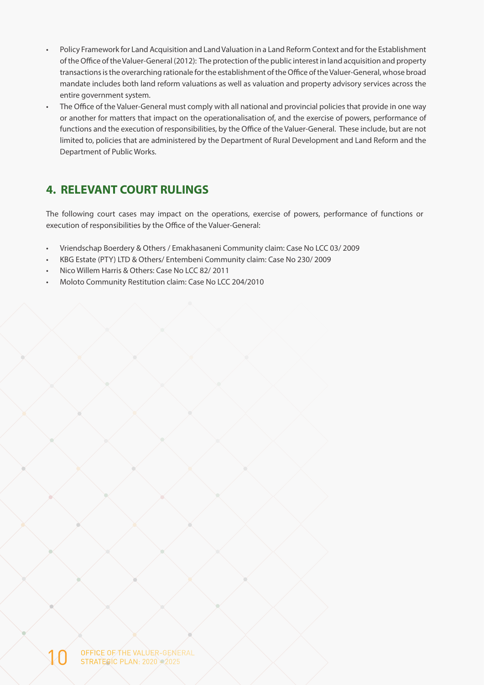- Policy Framework for Land Acquisition and Land Valuation in a Land Reform Context and for the Establishment of the Office of the Valuer-General (2012): The protection of the public interest in land acquisition and property transactions is the overarching rationale for the establishment of the Office of the Valuer-General, whose broad mandate includes both land reform valuations as well as valuation and property advisory services across the entire government system.
- The Office of the Valuer-General must comply with all national and provincial policies that provide in one way or another for matters that impact on the operationalisation of, and the exercise of powers, performance of functions and the execution of responsibilities, by the Office of the Valuer-General. These include, but are not limited to, policies that are administered by the Department of Rural Development and Land Reform and the Department of Public Works.

### **4. RELEVANT COURT RULINGS**

The following court cases may impact on the operations, exercise of powers, performance of functions or execution of responsibilities by the Office of the Valuer-General:

- Vriendschap Boerdery & Others / Emakhasaneni Community claim: Case No LCC 03/ 2009
- KBG Estate (PTY) LTD & Others/ Entembeni Community claim: Case No 230/ 2009
- Nico Willem Harris & Others: Case No LCC 82/ 2011
- Moloto Community Restitution claim: Case No LCC 204/2010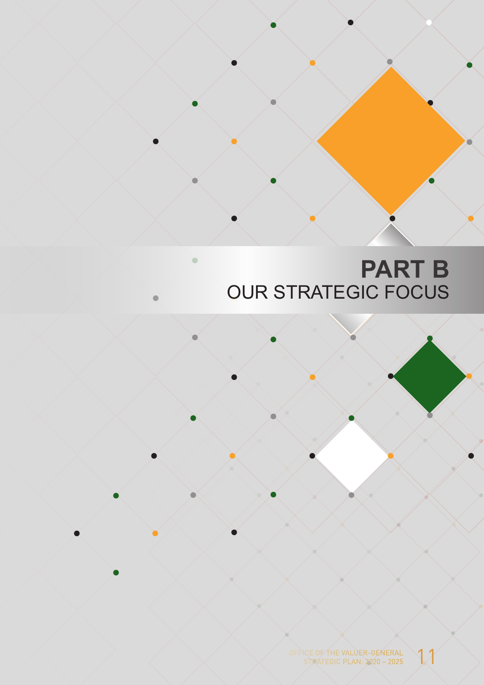## **PART B** OUR STRATEGIC FOCUS

 $\bullet$ 

 $\sqrt{2}$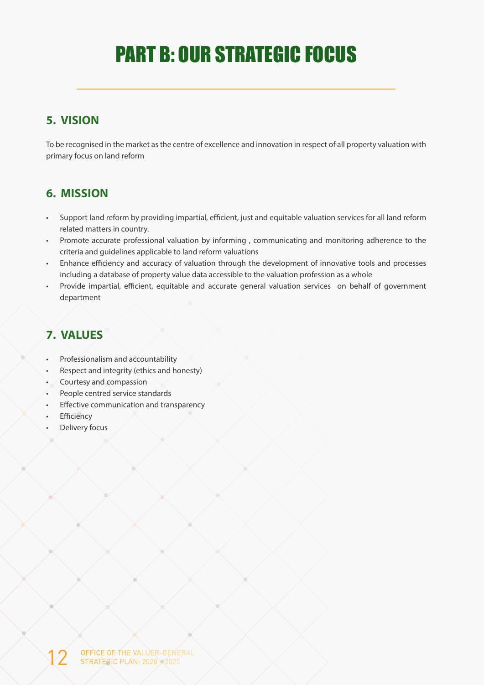# PART B: OUR STRATEGIC FOCUS

### **5. VISION**

To be recognised in the market as the centre of excellence and innovation in respect of all property valuation with primary focus on land reform

#### **6. MISSION**

- Support land reform by providing impartial, efficient, just and equitable valuation services for all land reform related matters in country.
- Promote accurate professional valuation by informing , communicating and monitoring adherence to the criteria and guidelines applicable to land reform valuations
- Enhance efficiency and accuracy of valuation through the development of innovative tools and processes including a database of property value data accessible to the valuation profession as a whole
- Provide impartial, efficient, equitable and accurate general valuation services on behalf of government department

#### **7. VALUES**

- Professionalism and accountability
- Respect and integrity (ethics and honesty)
- Courtesy and compassion
- People centred service standards
- **Effective communication and transparency**
- **Efficiency**
- Delivery focus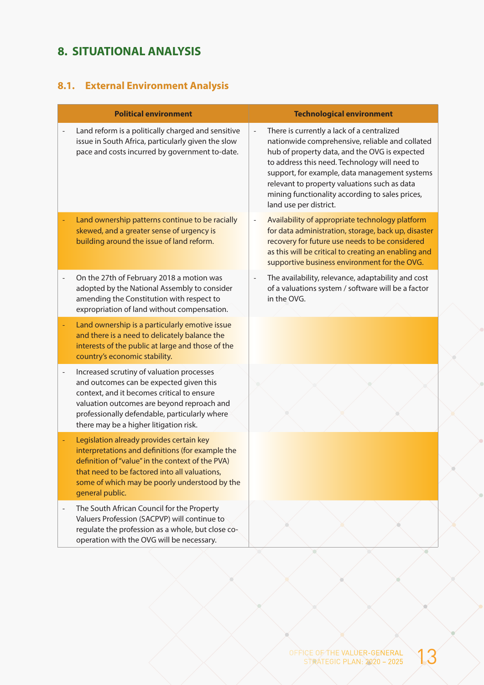### **8. SITUATIONAL ANALYSIS**

#### **8.1. External Environment Analysis**

|                   | <b>Political environment</b>                                                                                                                                                                                                                                                | <b>Technological environment</b>                                                                                                                                                                                                                                                                                                                                              |
|-------------------|-----------------------------------------------------------------------------------------------------------------------------------------------------------------------------------------------------------------------------------------------------------------------------|-------------------------------------------------------------------------------------------------------------------------------------------------------------------------------------------------------------------------------------------------------------------------------------------------------------------------------------------------------------------------------|
|                   | Land reform is a politically charged and sensitive<br>issue in South Africa, particularly given the slow<br>pace and costs incurred by government to-date.                                                                                                                  | There is currently a lack of a centralized<br>nationwide comprehensive, reliable and collated<br>hub of property data, and the OVG is expected<br>to address this need. Technology will need to<br>support, for example, data management systems<br>relevant to property valuations such as data<br>mining functionality according to sales prices,<br>land use per district. |
|                   | Land ownership patterns continue to be racially<br>skewed, and a greater sense of urgency is<br>building around the issue of land reform.                                                                                                                                   | Availability of appropriate technology platform<br>for data administration, storage, back up, disaster<br>recovery for future use needs to be considered<br>as this will be critical to creating an enabling and<br>supportive business environment for the OVG.                                                                                                              |
|                   | On the 27th of February 2018 a motion was<br>adopted by the National Assembly to consider<br>amending the Constitution with respect to<br>expropriation of land without compensation.                                                                                       | The availability, relevance, adaptability and cost<br>$\qquad \qquad -$<br>of a valuations system / software will be a factor<br>in the OVG.                                                                                                                                                                                                                                  |
|                   | Land ownership is a particularly emotive issue<br>and there is a need to delicately balance the<br>interests of the public at large and those of the<br>country's economic stability.                                                                                       |                                                                                                                                                                                                                                                                                                                                                                               |
| $\qquad \qquad -$ | Increased scrutiny of valuation processes<br>and outcomes can be expected given this<br>context, and it becomes critical to ensure<br>valuation outcomes are beyond reproach and<br>professionally defendable, particularly where<br>there may be a higher litigation risk. |                                                                                                                                                                                                                                                                                                                                                                               |
|                   | Legislation already provides certain key<br>interpretations and definitions (for example the<br>definition of "value" in the context of the PVA)<br>that need to be factored into all valuations,<br>some of which may be poorly understood by the<br>general public.       |                                                                                                                                                                                                                                                                                                                                                                               |
|                   | The South African Council for the Property<br>Valuers Profession (SACPVP) will continue to<br>regulate the profession as a whole, but close co-<br>operation with the OVG will be necessary.                                                                                |                                                                                                                                                                                                                                                                                                                                                                               |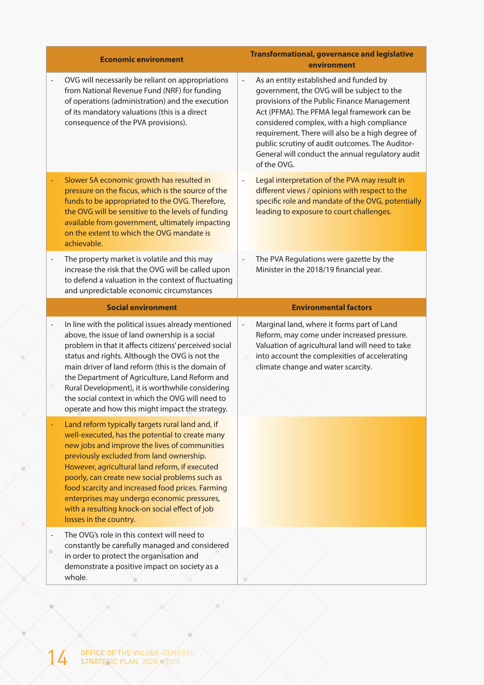| <b>Economic environment</b> |                                                                                                                                                                                                                                                                                                                                                                                                                                                                                     | <b>Transformational, governance and legislative</b><br>environment                                                                                                                                                                                                                                                                                                                                         |  |
|-----------------------------|-------------------------------------------------------------------------------------------------------------------------------------------------------------------------------------------------------------------------------------------------------------------------------------------------------------------------------------------------------------------------------------------------------------------------------------------------------------------------------------|------------------------------------------------------------------------------------------------------------------------------------------------------------------------------------------------------------------------------------------------------------------------------------------------------------------------------------------------------------------------------------------------------------|--|
|                             | OVG will necessarily be reliant on appropriations<br>from National Revenue Fund (NRF) for funding<br>of operations (administration) and the execution<br>of its mandatory valuations (this is a direct<br>consequence of the PVA provisions).                                                                                                                                                                                                                                       | As an entity established and funded by<br>government, the OVG will be subject to the<br>provisions of the Public Finance Management<br>Act (PFMA). The PFMA legal framework can be<br>considered complex, with a high compliance<br>requirement. There will also be a high degree of<br>public scrutiny of audit outcomes. The Auditor-<br>General will conduct the annual regulatory audit<br>of the OVG. |  |
|                             | Slower SA economic growth has resulted in<br>pressure on the fiscus, which is the source of the<br>funds to be appropriated to the OVG. Therefore,<br>the OVG will be sensitive to the levels of funding<br>available from government, ultimately impacting<br>on the extent to which the OVG mandate is<br>achievable.                                                                                                                                                             | Legal interpretation of the PVA may result in<br>different views / opinions with respect to the<br>specific role and mandate of the OVG, potentially<br>leading to exposure to court challenges.                                                                                                                                                                                                           |  |
| $\overline{\phantom{a}}$    | The property market is volatile and this may<br>increase the risk that the OVG will be called upon<br>to defend a valuation in the context of fluctuating<br>and unpredictable economic circumstances                                                                                                                                                                                                                                                                               | The PVA Regulations were gazette by the<br>Minister in the 2018/19 financial year.                                                                                                                                                                                                                                                                                                                         |  |
|                             | <b>Social environment</b>                                                                                                                                                                                                                                                                                                                                                                                                                                                           | <b>Environmental factors</b>                                                                                                                                                                                                                                                                                                                                                                               |  |
| $\overline{\phantom{m}}$    | In line with the political issues already mentioned<br>above, the issue of land ownership is a social<br>problem in that it affects citizens' perceived social                                                                                                                                                                                                                                                                                                                      | Marginal land, where it forms part of Land<br>Reform, may come under increased pressure.<br>Valuation of agricultural land will need to take                                                                                                                                                                                                                                                               |  |
|                             | status and rights. Although the OVG is not the<br>main driver of land reform (this is the domain of<br>the Department of Agriculture, Land Reform and<br>Rural Development), it is worthwhile considering<br>the social context in which the OVG will need to<br>operate and how this might impact the strategy.                                                                                                                                                                    | into account the complexities of accelerating<br>Ó<br>climate change and water scarcity.                                                                                                                                                                                                                                                                                                                   |  |
|                             | Land reform typically targets rural land and, if<br>well-executed, has the potential to create many<br>new jobs and improve the lives of communities<br>previously excluded from land ownership.<br>However, agricultural land reform, if executed<br>poorly, can create new social problems such as<br>food scarcity and increased food prices. Farming<br>enterprises may undergo economic pressures,<br>with a resulting knock-on social effect of job<br>losses in the country. |                                                                                                                                                                                                                                                                                                                                                                                                            |  |

14 OFFICE OF THE VALUER-GENERAL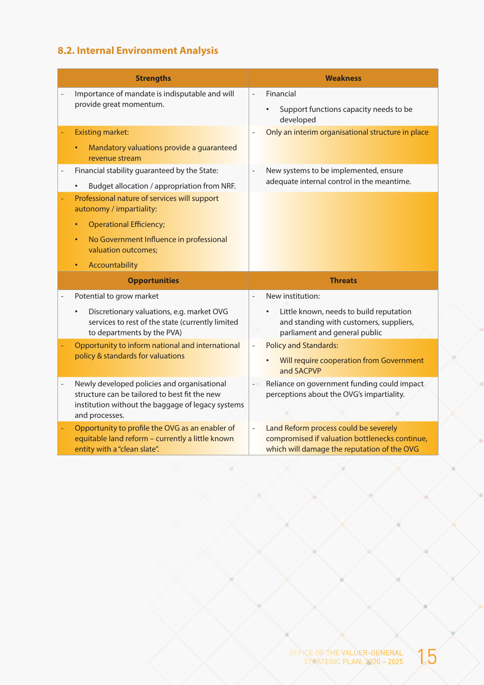### **8.2. Internal Environment Analysis**

|                                   | <b>Strengths</b>                                                                                                                                                    |                          | <b>Weakness</b>                                                                                                                        |
|-----------------------------------|---------------------------------------------------------------------------------------------------------------------------------------------------------------------|--------------------------|----------------------------------------------------------------------------------------------------------------------------------------|
| $\qquad \qquad -$                 | Importance of mandate is indisputable and will<br>provide great momentum.                                                                                           | $\overline{\phantom{a}}$ | Financial<br>Support functions capacity needs to be<br>developed                                                                       |
| Ξ                                 | <b>Existing market:</b><br>Mandatory valuations provide a guaranteed<br>revenue stream                                                                              | $\overline{a}$           | Only an interim organisational structure in place                                                                                      |
|                                   | Financial stability guaranteed by the State:<br>Budget allocation / appropriation from NRF.<br>$\bullet$                                                            |                          | New systems to be implemented, ensure<br>adequate internal control in the meantime.                                                    |
| L                                 | Professional nature of services will support<br>autonomy / impartiality:<br><b>Operational Efficiency;</b>                                                          |                          |                                                                                                                                        |
|                                   | No Government Influence in professional<br>$\bullet$<br>valuation outcomes;                                                                                         |                          |                                                                                                                                        |
|                                   | Accountability                                                                                                                                                      |                          |                                                                                                                                        |
|                                   | <b>Opportunities</b>                                                                                                                                                |                          | <b>Threats</b>                                                                                                                         |
|                                   | Potential to grow market                                                                                                                                            |                          | New institution:                                                                                                                       |
|                                   | Discretionary valuations, e.g. market OVG<br>services to rest of the state (currently limited<br>to departments by the PVA)                                         |                          | Little known, needs to build reputation<br>$\bullet$<br>and standing with customers, suppliers,<br>parliament and general public       |
|                                   | Opportunity to inform national and international                                                                                                                    | $\overline{\phantom{a}}$ | <b>Policy and Standards:</b>                                                                                                           |
| policy & standards for valuations |                                                                                                                                                                     |                          | Will require cooperation from Government<br>and SACPVP                                                                                 |
| $\overline{\phantom{a}}$          | Newly developed policies and organisational<br>structure can be tailored to best fit the new<br>institution without the baggage of legacy systems<br>and processes. | - 0                      | Reliance on government funding could impact<br>perceptions about the OVG's impartiality.                                               |
|                                   | Opportunity to profile the OVG as an enabler of<br>equitable land reform - currently a little known<br>entity with a "clean slate".                                 |                          | Land Reform process could be severely<br>compromised if valuation bottlenecks continue,<br>which will damage the reputation of the OVG |

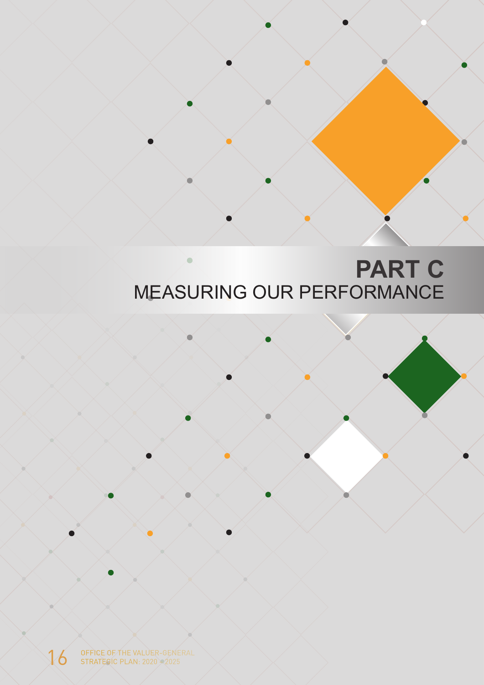### **PART C** MEASURING OUR PERFORMANCE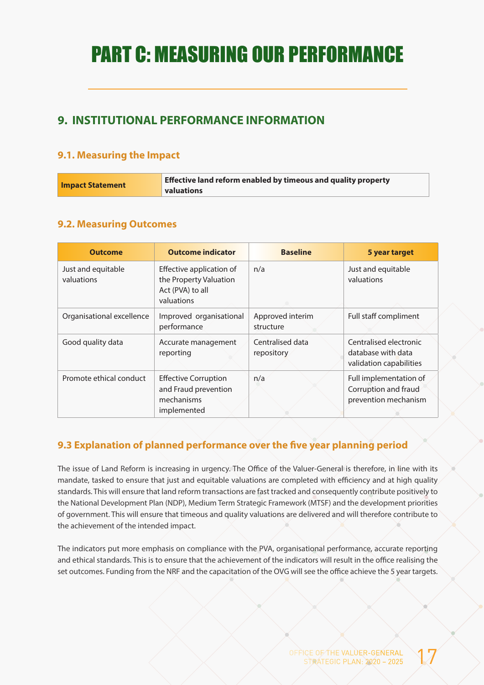# PART C: MEASURING OUR PERFORMANCE

### **9. INSTITUTIONAL PERFORMANCE INFORMATION**

#### **9.1. Measuring the Impact**

|                         | Effective land reform enabled by timeous and quality property |
|-------------------------|---------------------------------------------------------------|
| <b>Impact Statement</b> | valuations                                                    |

#### **9.2. Measuring Outcomes**

| <b>Outcome</b>                   | <b>Outcome indicator</b>                                                             | <b>Baseline</b>                | 5 year target                                                           |
|----------------------------------|--------------------------------------------------------------------------------------|--------------------------------|-------------------------------------------------------------------------|
| Just and equitable<br>valuations | Effective application of<br>the Property Valuation<br>Act (PVA) to all<br>valuations | n/a                            | Just and equitable<br>valuations                                        |
| Organisational excellence        | Improved organisational<br>performance                                               | Approved interim<br>structure  | Full staff compliment                                                   |
| Good quality data                | Accurate management<br>reporting                                                     | Centralised data<br>repository | Centralised electronic<br>database with data<br>validation capabilities |
| Promote ethical conduct          | <b>Effective Corruption</b><br>and Fraud prevention<br>mechanisms<br>implemented     | n/a                            | Full implementation of<br>Corruption and fraud<br>prevention mechanism  |

#### **9.3 Explanation of planned performance over the five year planning period**

The issue of Land Reform is increasing in urgency. The Office of the Valuer-General is therefore, in line with its mandate, tasked to ensure that just and equitable valuations are completed with efficiency and at high quality standards. This will ensure that land reform transactions are fast tracked and consequently contribute positively to the National Development Plan (NDP), Medium Term Strategic Framework (MTSF) and the development priorities of government. This will ensure that timeous and quality valuations are delivered and will therefore contribute to the achievement of the intended impact.

The indicators put more emphasis on compliance with the PVA, organisational performance, accurate reporting and ethical standards. This is to ensure that the achievement of the indicators will result in the office realising the set outcomes. Funding from the NRF and the capacitation of the OVG will see the office achieve the 5 year targets.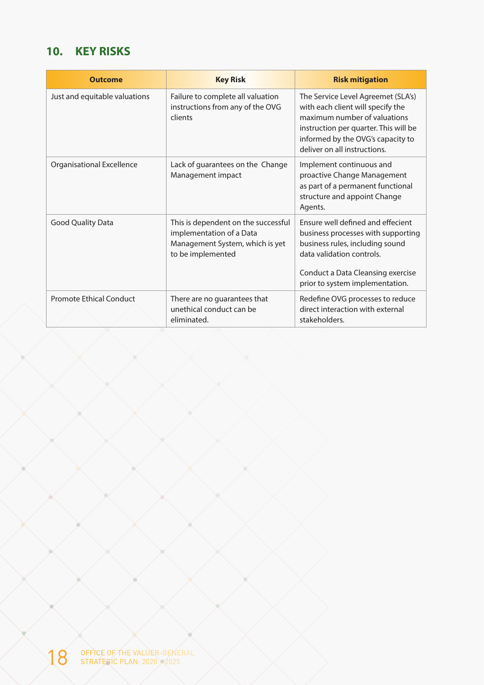### **10. KEY RISKS**

| Outcome                          | <b>Key Risk</b>                                                                                                         | <b>Risk mitigation</b>                                                                                                                                                                                                |
|----------------------------------|-------------------------------------------------------------------------------------------------------------------------|-----------------------------------------------------------------------------------------------------------------------------------------------------------------------------------------------------------------------|
| Just and equitable valuations    | Failure to complete all valuation<br>instructions from any of the OVG<br>clients                                        | The Service Level Agreemet (SLA's)<br>with each client will specify the<br>maximum number of valuations<br>instruction per quarter. This will be<br>informed by the OVG's capacity to<br>deliver on all instructions. |
| <b>Organisational Excellence</b> | Lack of guarantees on the Change<br>Management impact                                                                   | Implement continuous and<br>proactive Change Management<br>as part of a permanent functional<br>structure and appoint Change<br>Agents.                                                                               |
| Good Quality Data                | This is dependent on the successful<br>implementation of a Data<br>Management System, which is yet<br>to be implemented | Ensure well defined and effecient<br>business processes with supporting<br>business rules, including sound<br>data validation controls.<br>Conduct a Data Cleansing exercise<br>prior to system implementation.       |
| <b>Promote Ethical Conduct</b>   | There are no guarantees that<br>unethical conduct can be<br>eliminated.                                                 | Redefine OVG processes to reduce<br>direct interaction with external<br>stakeholders.                                                                                                                                 |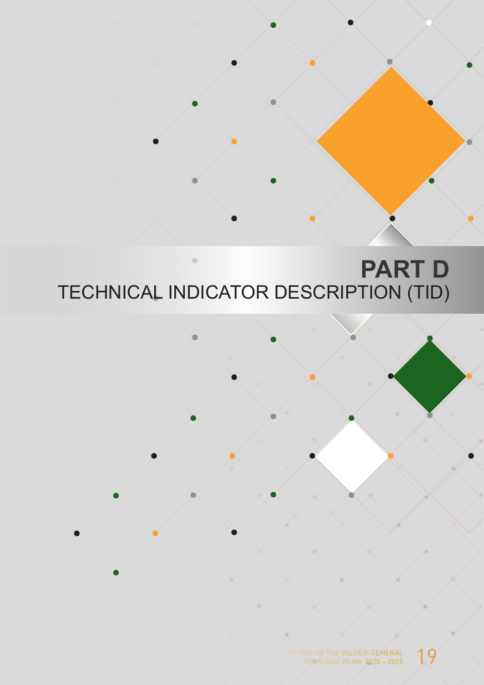### **PART D** TECHNICAL INDICATOR DESCRIPTION (TID)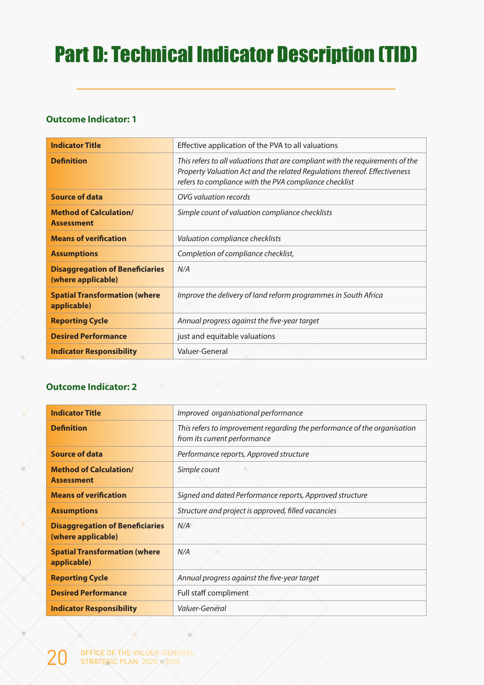# Part D: Technical Indicator Description (TID)

#### **Outcome Indicator: 1**

| <b>Indicator Title</b>                                       | Effective application of the PVA to all valuations                                                                                                                                                                   |
|--------------------------------------------------------------|----------------------------------------------------------------------------------------------------------------------------------------------------------------------------------------------------------------------|
| <b>Definition</b>                                            | This refers to all valuations that are compliant with the requirements of the<br>Property Valuation Act and the related Regulations thereof. Effectiveness<br>refers to compliance with the PVA compliance checklist |
| Source of data                                               | OVG valuation records                                                                                                                                                                                                |
| <b>Method of Calculation/</b><br><b>Assessment</b>           | Simple count of valuation compliance checklists                                                                                                                                                                      |
| <b>Means of verification</b>                                 | Valuation compliance checklists                                                                                                                                                                                      |
| <b>Assumptions</b>                                           | Completion of compliance checklist,                                                                                                                                                                                  |
| <b>Disaggregation of Beneficiaries</b><br>(where applicable) | N/A                                                                                                                                                                                                                  |
| <b>Spatial Transformation (where</b><br>applicable)          | Improve the delivery of land reform programmes in South Africa                                                                                                                                                       |
| <b>Reporting Cycle</b>                                       | Annual progress against the five-year target                                                                                                                                                                         |
| <b>Desired Performance</b>                                   | just and equitable valuations                                                                                                                                                                                        |
| <b>Indicator Responsibility</b>                              | Valuer-General                                                                                                                                                                                                       |

#### **Outcome Indicator: 2**

| <b>Indicator Title</b>                                       | Improved organisational performance                                                                      |
|--------------------------------------------------------------|----------------------------------------------------------------------------------------------------------|
| <b>Definition</b>                                            | This refers to improvement regarding the performance of the organisation<br>from its current performance |
| <b>Source of data</b>                                        | Performance reports, Approved structure                                                                  |
| <b>Method of Calculation/</b><br><b>Assessment</b>           | Simple count                                                                                             |
| <b>Means of verification</b>                                 | Signed and dated Performance reports, Approved structure                                                 |
| <b>Assumptions</b>                                           | Structure and project is approved, filled vacancies                                                      |
| <b>Disaggregation of Beneficiaries</b><br>(where applicable) | N/A                                                                                                      |
| <b>Spatial Transformation (where</b><br>applicable)          | N/A                                                                                                      |
| <b>Reporting Cycle</b>                                       | Annual progress against the five-year target                                                             |
| <b>Desired Performance</b>                                   | Full staff compliment                                                                                    |
| <b>Indicator Responsibility</b>                              | Valuer-General                                                                                           |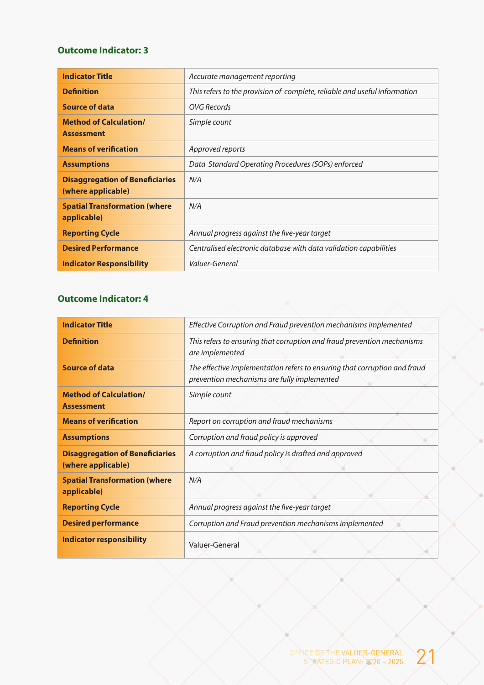#### **Outcome Indicator: 3**

| <b>Indicator Title</b>                                       | Accurate management reporting                                             |
|--------------------------------------------------------------|---------------------------------------------------------------------------|
| <b>Definition</b>                                            | This refers to the provision of complete, reliable and useful information |
| <b>Source of data</b>                                        | OVG Records                                                               |
| <b>Method of Calculation/</b><br><b>Assessment</b>           | Simple count                                                              |
| <b>Means of verification</b>                                 | Approved reports                                                          |
| <b>Assumptions</b>                                           | Data Standard Operating Procedures (SOPs) enforced                        |
| <b>Disaggregation of Beneficiaries</b><br>(where applicable) | N/A                                                                       |
| <b>Spatial Transformation (where</b><br>applicable)          | N/A                                                                       |
| <b>Reporting Cycle</b>                                       | Annual progress against the five-year target                              |
| <b>Desired Performance</b>                                   | Centralised electronic database with data validation capabilities         |
| <b>Indicator Responsibility</b>                              | Valuer-General                                                            |

#### **Outcome Indicator: 4**

| <b>Indicator Title</b>                                       | Effective Corruption and Fraud prevention mechanisms implemented                                                         |
|--------------------------------------------------------------|--------------------------------------------------------------------------------------------------------------------------|
| <b>Definition</b>                                            | This refers to ensuring that corruption and fraud prevention mechanisms<br>are implemented                               |
| <b>Source of data</b>                                        | The effective implementation refers to ensuring that corruption and fraud<br>prevention mechanisms are fully implemented |
| <b>Method of Calculation/</b><br><b>Assessment</b>           | Simple count                                                                                                             |
| <b>Means of verification</b>                                 | Report on corruption and fraud mechanisms                                                                                |
| <b>Assumptions</b>                                           | Corruption and fraud policy is approved                                                                                  |
| <b>Disaggregation of Beneficiaries</b><br>(where applicable) | A corruption and fraud policy is drafted and approved                                                                    |
| <b>Spatial Transformation (where</b><br>applicable)          | N/A                                                                                                                      |
| <b>Reporting Cycle</b>                                       | Annual progress against the five-year target                                                                             |
| <b>Desired performance</b>                                   | Corruption and Fraud prevention mechanisms implemented                                                                   |
| <b>Indicator responsibility</b>                              | Valuer-General                                                                                                           |

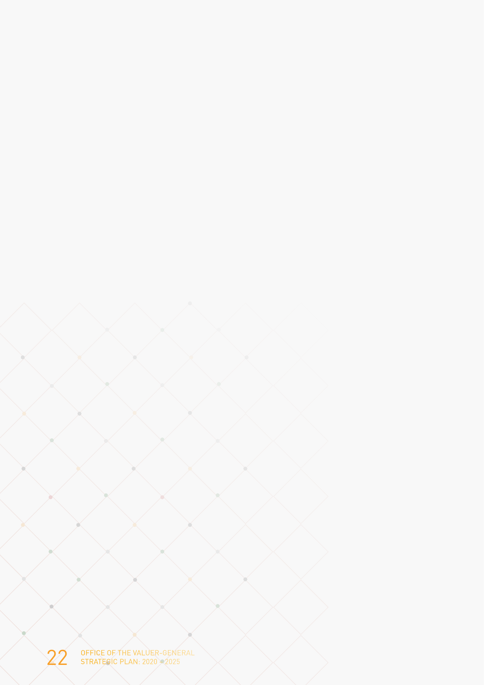

22 OFFICE OF THE VALUER-GENERAL<br>STRATEGIC PLAN: 2020 – 2025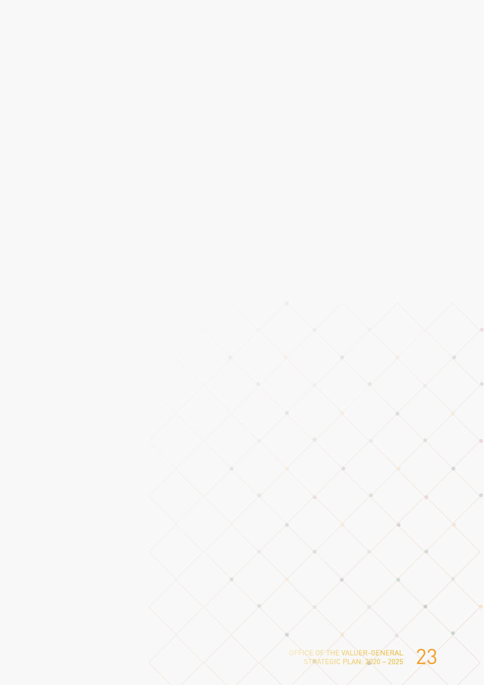